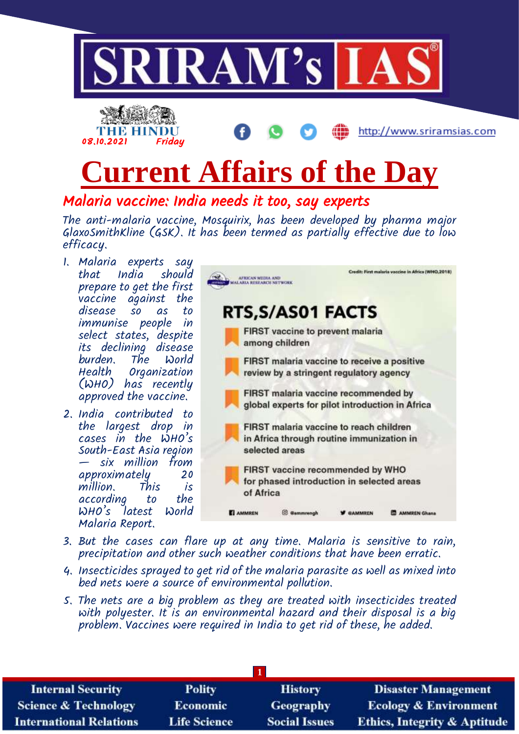

Malaria vaccine: India needs it too, say experts

The anti-malaria vaccine, Mosquirix, has been developed by pharma major GlaxoSmithKline (GSK). It has been termed as partially effective due to low efficacy.

- 1. Malaria experts say India should prepare to get the first vaccine against the so as to immunise people in select states, despite its declining disease burden. The World Organization (WHO) has recently approved the vaccine.
- 2. India contributed to the largest drop in cases in the WHO's South-East Asia region — six million from approximately 20 million. This is according to the WHO's latest World Malaria Report.

| AFRICAN MEDIA AND<br>LARIA RESEARCH NETWORK |                                                                                                        |                | Credit: First malaria vaccine in Africa (WHO, 201 |
|---------------------------------------------|--------------------------------------------------------------------------------------------------------|----------------|---------------------------------------------------|
|                                             | RTS, S/AS01 FACTS                                                                                      |                |                                                   |
|                                             | <b>FIRST</b> vaccine to prevent malaria<br>among children                                              |                |                                                   |
|                                             | FIRST malaria vaccine to receive a positive<br>review by a stringent regulatory agency                 |                |                                                   |
|                                             | FIRST malaria vaccine recommended by<br>global experts for pilot introduction in Africa                |                |                                                   |
|                                             | FIRST malaria vaccine to reach children<br>in Africa through routine immunization in<br>selected areas |                |                                                   |
| of Africa                                   | FIRST vaccine recommended by WHO<br>for phased introduction in selected areas                          |                |                                                   |
| <b>AMMREN</b>                               | <b>@ammrengh</b>                                                                                       | <b>RAMMREN</b> | <b>AMMREN Ghana</b>                               |

- 3. But the cases can flare up at any time. Malaria is sensitive to rain, precipitation and other such weather conditions that have been erratic.
- 4. Insecticides sprayed to get rid of the malaria parasite as well as mixed into bed nets were a source of environmental pollution.
- 5. The nets are a big problem as they are treated with insecticides treated with polyester. It is an environmental hazard and their disposal is a big problem. Vaccines were required in India to get rid of these, he added.

| <b>Internal Security</b>        | <b>Polity</b>       | <b>History</b>       | <b>Disaster Management</b>              |  |  |
|---------------------------------|---------------------|----------------------|-----------------------------------------|--|--|
| <b>Science &amp; Technology</b> | <b>Economic</b>     | <b>Geography</b>     | <b>Ecology &amp; Environment</b>        |  |  |
| <b>International Relations</b>  | <b>Life Science</b> | <b>Social Issues</b> | <b>Ethics, Integrity &amp; Aptitude</b> |  |  |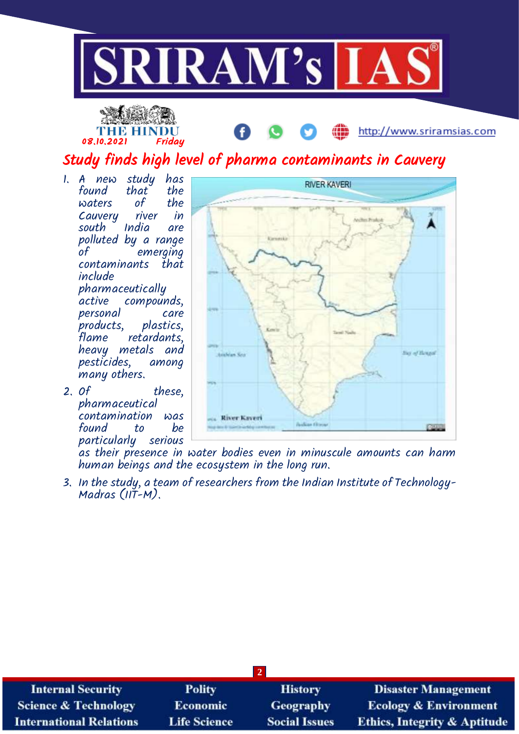



Study finds high level of pharma contaminants in Cauvery

- 1. A new study has found that the waters of the<br>Cauveru river in Cauvery rive<br>south India south India are polluted by a range of emerging contaminants that include pharmaceutically active compounds, personal care<br>products, plastics, products,<br>flame retardants, heavy metals and pesticides, among many others.
- 2. Of these, pharmaceutical contamination was found to particularly serious



ŒD

http://www.sriramsias.com

as their presence in water bodies even in minuscule amounts can harm human beings and the ecosystem in the long run.

3. In the study, a team of researchers from the Indian Institute of Technology-Madras (IIT-M).

| $\vert 2 \vert$                 |                     |                      |                                         |  |  |
|---------------------------------|---------------------|----------------------|-----------------------------------------|--|--|
| <b>Internal Security</b>        | <b>Polity</b>       | <b>History</b>       | <b>Disaster Management</b>              |  |  |
| <b>Science &amp; Technology</b> | Economic            | <b>Geography</b>     | <b>Ecology &amp; Environment</b>        |  |  |
| <b>International Relations</b>  | <b>Life Science</b> | <b>Social Issues</b> | <b>Ethics, Integrity &amp; Aptitude</b> |  |  |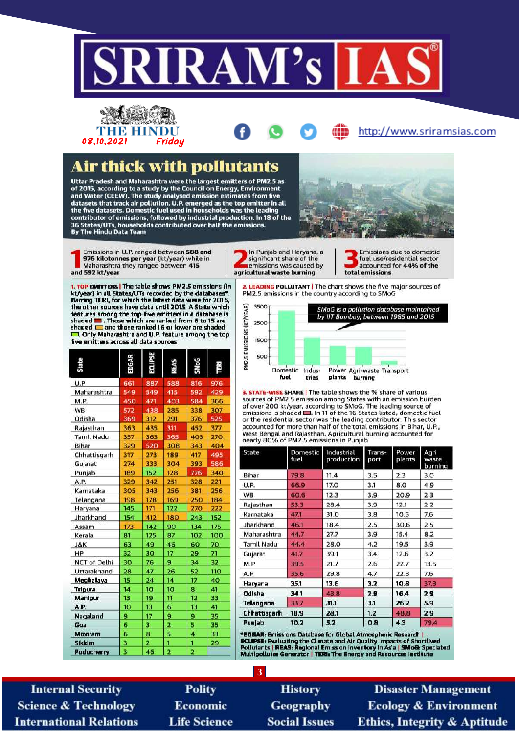

## THE HINDU 08.10.2021 Fridau

## **Air thick with pollutants**

Uttar Pradesh and Maharashtra were the largest emitters of PM2.5 as of 2015, according to a study by the Council on Energy, Environment<br>and Water (CEEW). The study analysed emission estimates from five<br>datasets that track air pollution. U.P. emerged as the top emitter in all the five datasets. Domestic fuel used in households was the leading contributor of emissions, followed by industrial production. In 18 of the 36 States/UTs, households contributed over half the emissions. By The Hindu Data Team



Emissions in U.P. ranged between 588 and 976 kilotonnes per year (kt/year) while in Maharashtra they ranged between 415 and 592 kt/year

1. TOP EMITTERS | The table shows PM2.5 emissions (in kt/year) in all States/UTs recorded by the databases\* Barring TERI, for which the latest data were for 2016,<br>the other sources have data until 2015. A State which features among the top-five emitters in a database is<br>shaded  $\blacksquare$ . Those which are ranked from 6 to 15 are<br>shaded  $\blacksquare$  and those ranked 16 or lower are shaded [7]. Only Maharashtra and U.P. feature among the top five emitters across all data sources

| <b>State</b>        | EDGAR | 35di 103 | SY38 | <b>SMoG</b> | 뗥   |
|---------------------|-------|----------|------|-------------|-----|
| U.P                 | 661   | 887      | 588  | 816         | 976 |
| Maharashtra         | 549   | 549      | 415  | 592         | 429 |
| M.P.                | 450   | 471      | 403  | 584         | 366 |
| WB                  | 572   | 438      | 285  | 338         | 307 |
| Odisha              | 369   | 312      | 291  | 376         | 525 |
| Rajasthan           | 363   | 435      | 311  | 452         | 377 |
| <b>Tamil Nadu</b>   | 357   | 363      | 365  | 403         | 270 |
| Bihar               | 329   | 520      | 308  | 343         | 404 |
| Chhattisgarh        | 317   | 273      | 189  | 417         | 495 |
| Gujarat             | 274   | 333      | 304  | 393         | 586 |
| Punjab              | 189   | 152      | 128  | 776         | 340 |
| A.P.                | 329   | 342      | 251  | 328         | 221 |
| Karnataka           | 305   | 343      | 256  | 381         | 256 |
| Telangana           | 198   | 178      | 169  | 250         | 184 |
| Haryana             | 145   | 171      | 122  | 270         | 222 |
| Jharkhand           | 154   | 412      | 180  | 243         | 152 |
| Assam               | 173   | 142      | 90   | 134         | 175 |
| Kerala              | 81    | 125      | 87   | 102         | 100 |
| J&K                 | 63    | 49       | 46   | 60          | 70  |
| HP                  | 32    | 30       | 17   | 29          | 71  |
| <b>NCT of Delhi</b> | 30    | 76       | 9    | 34          | 32  |
| Uttarakhand         | 28    | 47       | 26   | 52          | 110 |
| Meghalaya           | 15    | 24       | 14   | 17          | 40  |
| <b>Tripura</b>      | 14    | 10       | 10   | 8           | 41  |
| Manipur             | 13    | 19       | 11   | 12          | 33  |
| A.P.                | 10    | 13       | 6    | 13          | 41  |
| Nagaland            | 9     | 17       | 9    | 9           | 35  |
| Gaa                 | 6     | 3        | 2    | 5           | 35  |
| <b>Mizoram</b>      | 6     | 8        | 5    | 4           | 33  |
| Sikkim              | 3     | 2        | 1    | 1           | 29  |
| Puducherry          | R     | 46       | 2    | Þ           |     |

In Punjab and Haryana, a significant share of the emissions was caused by agricultural waste burning

Emissions due to domestic fuel use/residential sector accounted for 44% of the total emissions

http://www.sriramsias.com

2. LEADING POLLUTANT | The chart shows the five major sources of PM2.5 emissions in the country according to SMoG



3. STATE-WISE SHARE | The table shows the % share of various sources of PM2.5 emission among States with an emission burden<br>of over 200 kt/year, according to SMoG. The leading source of emissions is shaded **...** In 11 of the 16 States listed, domestic fuel or the residential sector was the leading contributor. This sector accounted for more than half of the total emissions in Bihar, U.P.,<br>West Bengal and Rajasthan. Agricultural burning accounted for nearly 80% of PM2.5 emissions in Punjab

| State        | Domestic<br>fuel | Industrial<br>production | Trans-<br>port | Power<br>plants | Agri<br>waste<br>burning |
|--------------|------------------|--------------------------|----------------|-----------------|--------------------------|
| Bihar        | 79.8             | 11.4                     | 3.5            | 2.3             | 3.0                      |
| <b>U.P.</b>  | 66.9             | 17.O                     | 3.1            | 8.0             | 4.9                      |
| WB.          | 60.6             | 12.3                     | 3.9            | 20.9            | 2.3                      |
| Rajasthan    | 53.3             | 28.4                     | 3.9            | 12.1            | 2.2                      |
| Karnataka    | 47.1             | 31.O                     | 3.8            | 10.5            | 7.6                      |
| Jharkhand    | 46.1             | 18.4                     | 2.5            | 30.6            | 2.5                      |
| Maharashtra  | 44.7             | 27.7                     | 3.9            | 15.4            | 8.2                      |
| Tamil Nadu   | 44.4             | 28.0                     | 4.2            | 19.5            | 3.9                      |
| Gujarat      | 41.7             | 39.1                     | 3.4            | 12.6            | 3.2                      |
| M.P          | 39.5             | 21.7                     | 2.6            | 22.7            | 13.5                     |
| A.P          | 35.6             | 29.8                     | 4.7            | 22.3            | 7.6                      |
| Haryana      | 35.1             | 13.6                     | 3.2            | 10.8            | 37.3                     |
| Odisha       | 34.1             | 43.8                     | 2.9            | 16.4            | 2.9                      |
| Telangana    | 33.7             | 31.1                     | 3.1            | 26.2            | 5.9                      |
| Chhattisgarh | 18.9             | 28.1                     | 1.2            | 48.8            | 2.9                      |
| Punjab       | 10.2             | 5.2                      | 0.8            | 4.3             | 79.4                     |

"EDGAR: Emissions Database for Global Atmospheric Research |<br>ECLIPSE: Evaluating the Climate and Air Quality Impacts of Shortlived<br>Pollutants | REAS: Regional Emission Inventory in Asia | SMoG: Speciated<br>Multipoliuter Gene

**Internal Security Science & Technology International Relations** 

**Polity Economic Life Science** 

**History Geography Social Issues** 

 $\overline{3}$ 

**Disaster Management Ecology & Environment Ethics, Integrity & Aptitude**